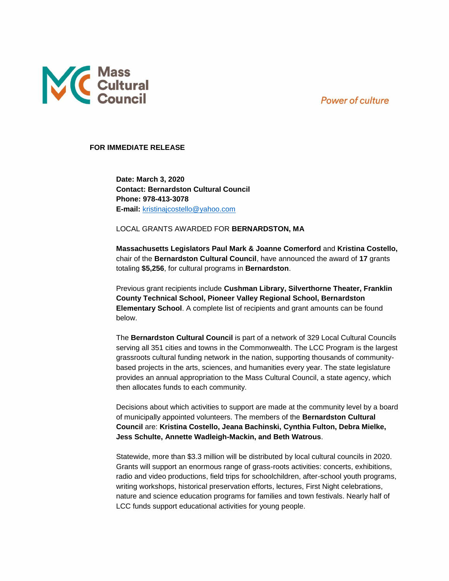**Power of culture** 



## **FOR IMMEDIATE RELEASE**

**Date: March 3, 2020 Contact: Bernardston Cultural Council Phone: 978-413-3078 E-mail:** [kristinajcostello@yahoo.com](mailto:kristinajcostello@yahoo.com)

## LOCAL GRANTS AWARDED FOR **BERNARDSTON, MA**

**Massachusetts Legislators Paul Mark & Joanne Comerford** and **Kristina Costello,** chair of the **Bernardston Cultural Council**, have announced the award of **17** grants totaling **\$5,256**, for cultural programs in **Bernardston**.

Previous grant recipients include **Cushman Library, Silverthorne Theater, Franklin County Technical School, Pioneer Valley Regional School, Bernardston Elementary School**. A complete list of recipients and grant amounts can be found below.

The **Bernardston Cultural Council** is part of a network of 329 Local Cultural Councils serving all 351 cities and towns in the Commonwealth. The LCC Program is the largest grassroots cultural funding network in the nation, supporting thousands of communitybased projects in the arts, sciences, and humanities every year. The state legislature provides an annual appropriation to the Mass Cultural Council, a state agency, which then allocates funds to each community.

Decisions about which activities to support are made at the community level by a board of municipally appointed volunteers. The members of the **Bernardston Cultural Council** are: **Kristina Costello, Jeana Bachinski, Cynthia Fulton, Debra Mielke, Jess Schulte, Annette Wadleigh-Mackin, and Beth Watrous**.

Statewide, more than \$3.3 million will be distributed by local cultural councils in 2020. Grants will support an enormous range of grass-roots activities: concerts, exhibitions, radio and video productions, field trips for schoolchildren, after-school youth programs, writing workshops, historical preservation efforts, lectures, First Night celebrations, nature and science education programs for families and town festivals. Nearly half of LCC funds support educational activities for young people.